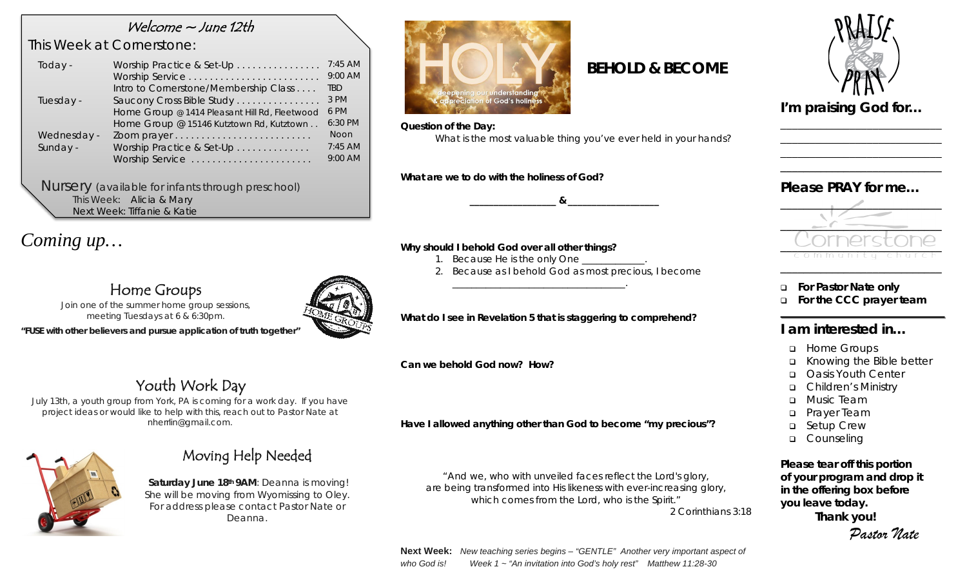### Welcome ~ June 12th

### *This Week at Cornerstone:*

| Today -     | Worship Practice & Set-Up                     | $7:45$ AM   |
|-------------|-----------------------------------------------|-------------|
|             | Worship Service                               | 9:00 AM     |
|             | Intro to Cornerstone/Membership Class         | TBD.        |
| Tuesday -   | Saucony Cross Bible Study                     | 3 PM        |
|             | Home Group @ 1414 Pleasant Hill Rd, Fleetwood | 6 PM        |
|             | Home Group @ 15146 Kutztown Rd, Kutztown      | 6:30 PM     |
| Wednesday - |                                               | <b>Noon</b> |
| Sunday -    | Worship Practice & Set-Up                     | $7:45$ AM   |
|             | Worship Service                               | 9:00 AM     |
|             |                                               |             |

*Nursery (available for infants through preschool)* This Week: Alicia & Mary Next Week: Tiffanie & Katie

*Coming up…*

# Home Groups



*"FUSE with other believers and pursue application of truth together"*

# Youth Work Day

*July 13th, a youth group from York, PA is coming for a work day. If you have project ideas or would like to help with this, reach out to Pastor Nate at nherrlin@gmail.com.*



## Moving Help Needed

**Saturday June 18th 9AM**: Deanna is moving! She will be moving from Wyomissing to Oley. For address please contact Pastor Nate or Deanna.



#### *Question of the Day:*

*What is the most valuable thing you've ever held in your hands?*

 *BEHOLD & BECOME* 

*What are we to do with the holiness of God?*

#### *Why should I behold God over all other things?*

- 1. Because He is the only One
- *2. Because as I behold God as most precious, I become*

*\_\_\_\_\_\_\_\_\_\_\_\_\_\_\_\_\_\_ & \_\_\_\_\_\_\_\_\_\_\_\_\_\_\_\_\_\_\_*

#### *What do I see in Revelation 5 that is staggering to comprehend?*

*\_\_\_\_\_\_\_\_\_\_\_\_\_\_\_\_\_\_\_\_\_\_\_\_\_\_\_\_\_\_\_\_\_\_\_\_.*

*Can we behold God now? How?*

*Have I allowed anything other than God to become "my precious"?*

*"And we, who with unveiled faces reflect the Lord's glory, are being transformed into His likeness with ever-increasing glory, which comes from the Lord, who is the Spirit."* 2 Corinthians 3:18

**Next Week:** *New teaching series begins – "GENTLE" Another very important aspect of who God is! Week 1 ~ "An invitation into God's holy rest" Matthew 11:28-30*



*I'm praising God for…* 

\_\_\_\_\_\_\_\_\_\_\_\_\_\_\_\_\_\_\_\_\_\_\_\_\_\_\_\_ \_\_\_\_\_\_\_\_\_\_\_\_\_\_\_\_\_\_\_\_\_\_\_\_\_\_\_\_ \_\_\_\_\_\_\_\_\_\_\_\_\_\_\_\_\_\_\_\_\_\_\_\_\_\_\_\_ \_\_\_\_\_\_\_\_\_\_\_\_\_\_\_\_\_\_\_\_\_\_\_\_\_\_\_\_

### *Please PRAY for me…*



- **For Pastor Nate only**
- **For the CCC prayer team**

### **I am interested in…**

- **u** Home Groups
- Knowing the Bible better
- **D** Oasis Youth Center
- Children's Ministry
- **D** Music Team
- **D** Prayer Team
- □ Setup Crew
- **Q** Counseling

*Please tear off this portion of your program and drop it in the offering box before you leave today.* **Thank you!**

*Pastor Nate*